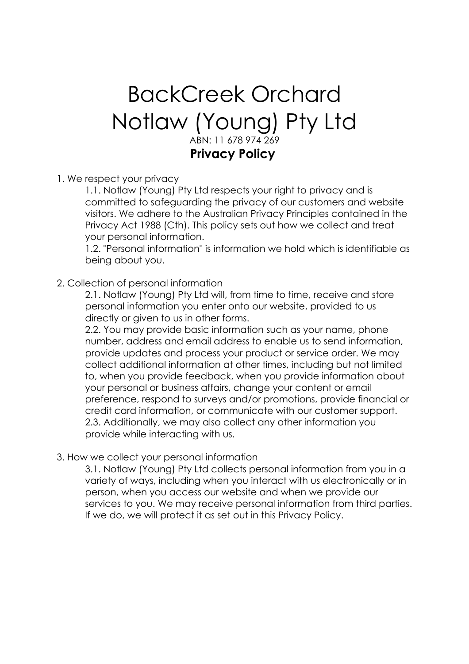# BackCreek Orchard Notlaw (Young) Pty Ltd ABN: 11 678 974 269 **Privacy Policy**

1. We respect your privacy

1.1. Notlaw (Young) Pty Ltd respects your right to privacy and is committed to safeguarding the privacy of our customers and website visitors. We adhere to the Australian Privacy Principles contained in the Privacy Act 1988 (Cth). This policy sets out how we collect and treat your personal information.

1.2. "Personal information" is information we hold which is identifiable as being about you.

## 2. Collection of personal information

2.1. Notlaw (Young) Pty Ltd will, from time to time, receive and store personal information you enter onto our website, provided to us directly or given to us in other forms.

2.2. You may provide basic information such as your name, phone number, address and email address to enable us to send information, provide updates and process your product or service order. We may collect additional information at other times, including but not limited to, when you provide feedback, when you provide information about your personal or business affairs, change your content or email preference, respond to surveys and/or promotions, provide financial or credit card information, or communicate with our customer support. 2.3. Additionally, we may also collect any other information you provide while interacting with us.

## 3. How we collect your personal information

3.1. Notlaw (Young) Pty Ltd collects personal information from you in a variety of ways, including when you interact with us electronically or in person, when you access our website and when we provide our services to you. We may receive personal information from third parties. If we do, we will protect it as set out in this Privacy Policy.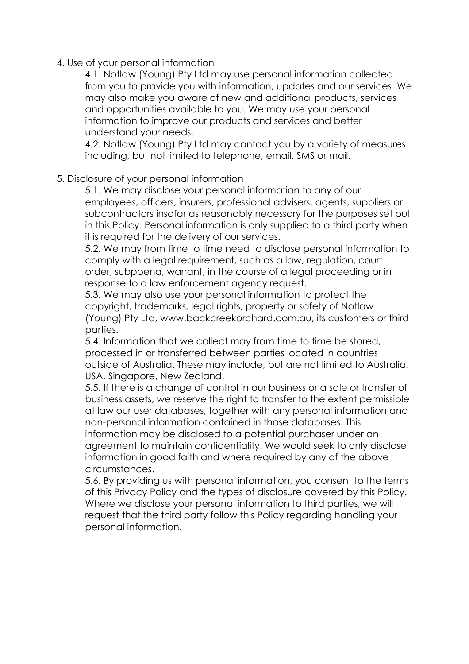4. Use of your personal information

4.1. Notlaw (Young) Pty Ltd may use personal information collected from you to provide you with information, updates and our services. We may also make you aware of new and additional products, services and opportunities available to you. We may use your personal information to improve our products and services and better understand your needs.

4.2. Notlaw (Young) Pty Ltd may contact you by a variety of measures including, but not limited to telephone, email, SMS or mail.

5. Disclosure of your personal information

5.1. We may disclose your personal information to any of our employees, officers, insurers, professional advisers, agents, suppliers or subcontractors insofar as reasonably necessary for the purposes set out in this Policy. Personal information is only supplied to a third party when it is required for the delivery of our services.

5.2. We may from time to time need to disclose personal information to comply with a legal requirement, such as a law, regulation, court order, subpoena, warrant, in the course of a legal proceeding or in response to a law enforcement agency request.

5.3. We may also use your personal information to protect the copyright, trademarks, legal rights, property or safety of Notlaw (Young) Pty Ltd, www.backcreekorchard.com.au, its customers or third parties.

5.4. Information that we collect may from time to time be stored, processed in or transferred between parties located in countries outside of Australia. These may include, but are not limited to Australia, USA, Singapore, New Zealand.

5.5. If there is a change of control in our business or a sale or transfer of business assets, we reserve the right to transfer to the extent permissible at law our user databases, together with any personal information and non-personal information contained in those databases. This information may be disclosed to a potential purchaser under an

agreement to maintain confidentiality. We would seek to only disclose information in good faith and where required by any of the above circumstances.

5.6. By providing us with personal information, you consent to the terms of this Privacy Policy and the types of disclosure covered by this Policy. Where we disclose your personal information to third parties, we will request that the third party follow this Policy regarding handling your personal information.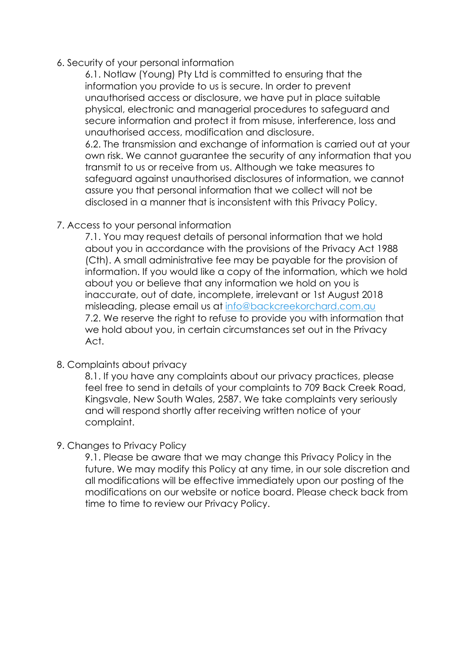6. Security of your personal information

6.1. Notlaw (Young) Pty Ltd is committed to ensuring that the information you provide to us is secure. In order to prevent unauthorised access or disclosure, we have put in place suitable physical, electronic and managerial procedures to safeguard and secure information and protect it from misuse, interference, loss and unauthorised access, modification and disclosure.

6.2. The transmission and exchange of information is carried out at your own risk. We cannot guarantee the security of any information that you transmit to us or receive from us. Although we take measures to safeguard against unauthorised disclosures of information, we cannot assure you that personal information that we collect will not be disclosed in a manner that is inconsistent with this Privacy Policy.

## 7. Access to your personal information

7.1. You may request details of personal information that we hold about you in accordance with the provisions of the Privacy Act 1988 (Cth). A small administrative fee may be payable for the provision of information. If you would like a copy of the information, which we hold about you or believe that any information we hold on you is inaccurate, out of date, incomplete, irrelevant or 1st August 2018 misleading, please email us at info@backcreekorchard.com.au 7.2. We reserve the right to refuse to provide you with information that we hold about you, in certain circumstances set out in the Privacy Act.

#### 8. Complaints about privacy

8.1. If you have any complaints about our privacy practices, please feel free to send in details of your complaints to 709 Back Creek Road, Kingsvale, New South Wales, 2587. We take complaints very seriously and will respond shortly after receiving written notice of your complaint.

## 9. Changes to Privacy Policy

9.1. Please be aware that we may change this Privacy Policy in the future. We may modify this Policy at any time, in our sole discretion and all modifications will be effective immediately upon our posting of the modifications on our website or notice board. Please check back from time to time to review our Privacy Policy.